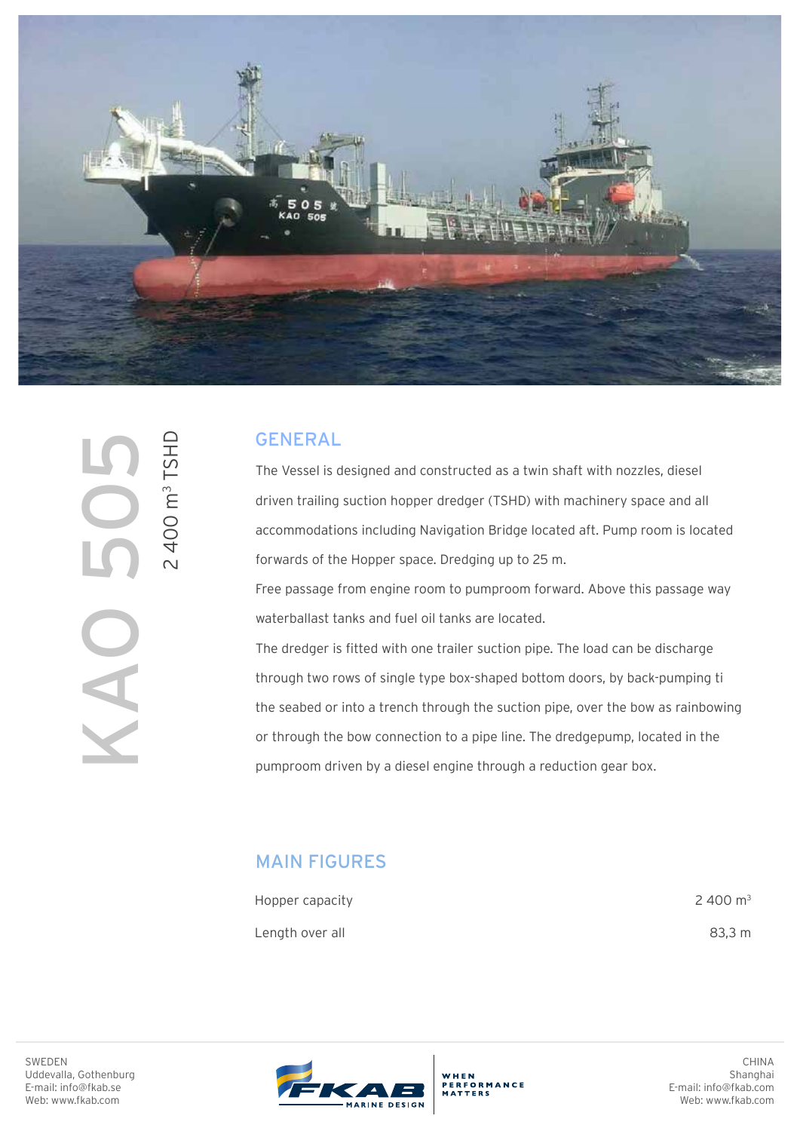

2 400 m3 TSHD2400 m<sup>3</sup> TSHD KAO 505 

## GENERAL

The Vessel is designed and constructed as a twin shaft with nozzles, diesel driven trailing suction hopper dredger (TSHD) with machinery space and all accommodations including Navigation Bridge located aft. Pump room is located forwards of the Hopper space. Dredging up to 25 m.

Free passage from engine room to pumproom forward. Above this passage way waterballast tanks and fuel oil tanks are located.

The dredger is fitted with one trailer suction pipe. The load can be discharge through two rows of single type box-shaped bottom doors, by back-pumping ti the seabed or into a trench through the suction pipe, over the bow as rainbowing or through the bow connection to a pipe line. The dredgepump, located in the pumproom driven by a diesel engine through a reduction gear box.

## MAIN FIGURES

| Hopper capacity | 2 400 $m3$ |
|-----------------|------------|
| Length over all | 83.3 m     |